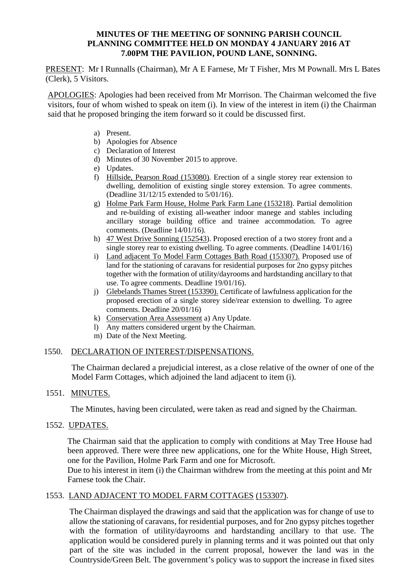### **MINUTES OF THE MEETING OF SONNING PARISH COUNCIL PLANNING COMMITTEE HELD ON MONDAY 4 JANUARY 2016 AT 7.00PM THE PAVILION, POUND LANE, SONNING.**

PRESENT: Mr I Runnalls (Chairman), Mr A E Farnese, Mr T Fisher, Mrs M Pownall. Mrs L Bates (Clerk), 5 Visitors.

APOLOGIES: Apologies had been received from Mr Morrison. The Chairman welcomed the five visitors, four of whom wished to speak on item (i). In view of the interest in item (i) the Chairman said that he proposed bringing the item forward so it could be discussed first.

- a) Present.
- b) Apologies for Absence
- c) Declaration of Interest
- d) Minutes of 30 November 2015 to approve.
- e) Updates.
- f) Hillside, Pearson Road (153080). Erection of a single storey rear extension to dwelling, demolition of existing single storey extension. To agree comments. (Deadline 31/12/15 extended to 5/01/16).
- g) Holme Park Farm House, Holme Park Farm Lane (153218). Partial demolition and re-building of existing all-weather indoor manege and stables including ancillary storage building office and trainee accommodation. To agree comments. (Deadline 14/01/16).
- h) 47 West Drive Sonning (152543). Proposed erection of a two storey front and a single storey rear to existing dwelling. To agree comments. (Deadline 14/01/16)
- i) Land adjacent To Model Farm Cottages Bath Road (153307). Proposed use of land for the stationing of caravans for residential purposes for 2no gypsy pitches together with the formation of utility/dayrooms and hardstanding ancillary to that use. To agree comments. Deadline 19/01/16).
- j) Glebelands Thames Street (153390). Certificate of lawfulness application for the proposed erection of a single storey side/rear extension to dwelling. To agree comments. Deadline 20/01/16)
- k) Conservation Area Assessment a) Any Update.
- l) Any matters considered urgent by the Chairman.
- m) Date of the Next Meeting.

### 1550. DECLARATION OF INTEREST/DISPENSATIONS.

The Chairman declared a prejudicial interest, as a close relative of the owner of one of the Model Farm Cottages, which adjoined the land adjacent to item (i).

### 1551. MINUTES.

The Minutes, having been circulated, were taken as read and signed by the Chairman.

#### 1552. UPDATES.

The Chairman said that the application to comply with conditions at May Tree House had been approved. There were three new applications, one for the White House, High Street, one for the Pavilion, Holme Park Farm and one for Microsoft.

Due to his interest in item (i) the Chairman withdrew from the meeting at this point and Mr Farnese took the Chair.

### 1553. LAND ADJACENT TO MODEL FARM COTTAGES (153307).

The Chairman displayed the drawings and said that the application was for change of use to allow the stationing of caravans, for residential purposes, and for 2no gypsy pitches together with the formation of utility/dayrooms and hardstanding ancillary to that use. The application would be considered purely in planning terms and it was pointed out that only part of the site was included in the current proposal, however the land was in the Countryside/Green Belt. The government's policy was to support the increase in fixed sites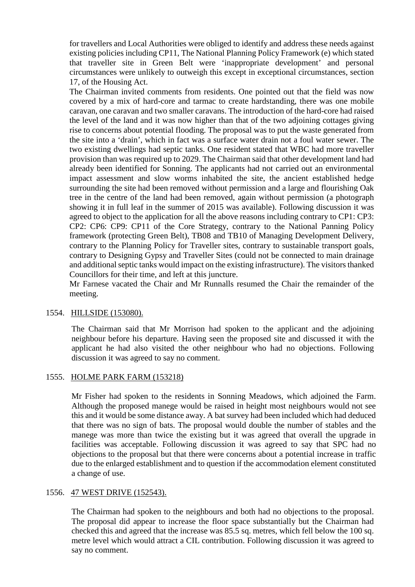for travellers and Local Authorities were obliged to identify and address these needs against existing policies including CP11, The National Planning Policy Framework (e) which stated that traveller site in Green Belt were 'inappropriate development' and personal circumstances were unlikely to outweigh this except in exceptional circumstances, section 17, of the Housing Act.

The Chairman invited comments from residents. One pointed out that the field was now covered by a mix of hard-core and tarmac to create hardstanding, there was one mobile caravan, one caravan and two smaller caravans. The introduction of the hard-core had raised the level of the land and it was now higher than that of the two adjoining cottages giving rise to concerns about potential flooding. The proposal was to put the waste generated from the site into a 'drain', which in fact was a surface water drain not a foul water sewer. The two existing dwellings had septic tanks. One resident stated that WBC had more traveller provision than was required up to 2029. The Chairman said that other development land had already been identified for Sonning. The applicants had not carried out an environmental impact assessment and slow worms inhabited the site, the ancient established hedge surrounding the site had been removed without permission and a large and flourishing Oak tree in the centre of the land had been removed, again without permission (a photograph showing it in full leaf in the summer of 2015 was available). Following discussion it was agreed to object to the application for all the above reasons including contrary to CP1: CP3: CP2: CP6: CP9: CP11 of the Core Strategy, contrary to the National Panning Policy framework (protecting Green Belt), TB08 and TB10 of Managing Development Delivery, contrary to the Planning Policy for Traveller sites, contrary to sustainable transport goals, contrary to Designing Gypsy and Traveller Sites (could not be connected to main drainage and additional septic tanks would impact on the existing infrastructure). The visitors thanked Councillors for their time, and left at this juncture.

Mr Farnese vacated the Chair and Mr Runnalls resumed the Chair the remainder of the meeting.

### 1554. HILLSIDE (153080).

The Chairman said that Mr Morrison had spoken to the applicant and the adjoining neighbour before his departure. Having seen the proposed site and discussed it with the applicant he had also visited the other neighbour who had no objections. Following discussion it was agreed to say no comment.

### 1555. HOLME PARK FARM (153218)

Mr Fisher had spoken to the residents in Sonning Meadows, which adjoined the Farm. Although the proposed manege would be raised in height most neighbours would not see this and it would be some distance away. A bat survey had been included which had deduced that there was no sign of bats. The proposal would double the number of stables and the manege was more than twice the existing but it was agreed that overall the upgrade in facilities was acceptable. Following discussion it was agreed to say that SPC had no objections to the proposal but that there were concerns about a potential increase in traffic due to the enlarged establishment and to question if the accommodation element constituted a change of use.

#### 1556. 47 WEST DRIVE (152543).

The Chairman had spoken to the neighbours and both had no objections to the proposal. The proposal did appear to increase the floor space substantially but the Chairman had checked this and agreed that the increase was 85.5 sq. metres, which fell below the 100 sq. metre level which would attract a CIL contribution. Following discussion it was agreed to say no comment.